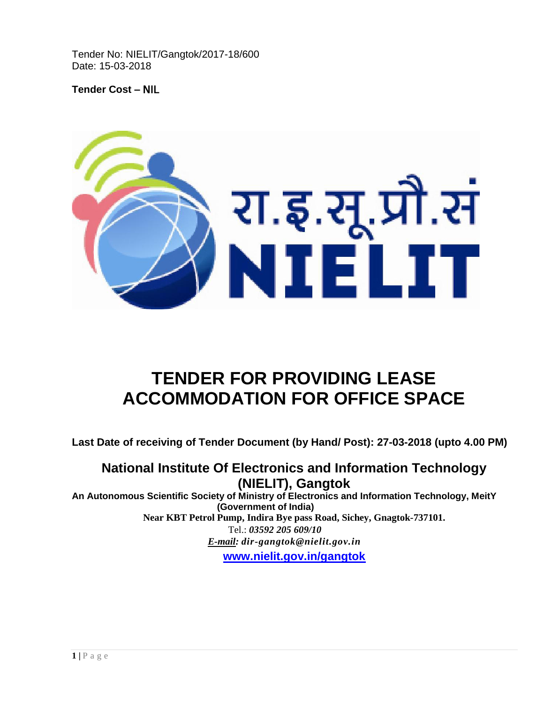Tender No: NIELIT/Gangtok/2017-18/600 Date: 15-03-2018

**Tender Cost –** NIL



# **TENDER FOR PROVIDING LEASE ACCOMMODATION FOR OFFICE SPACE**

**Last Date of receiving of Tender Document (by Hand/ Post): 27-03-2018 (upto 4.00 PM)**

# **National Institute Of Electronics and Information Technology (NIELIT), Gangtok**

**An Autonomous Scientific Society of Ministry of Electronics and Information Technology, MeitY (Government of India) Near KBT Petrol Pump, Indira Bye pass Road, Sichey, Gnagtok-737101.** Tel.: *03592 205 609/10 E-mail: dir-gangtok@nielit.gov.in* **[www.nielit.gov.in/gangtok](http://www.nielit.gov.in/gangtok)**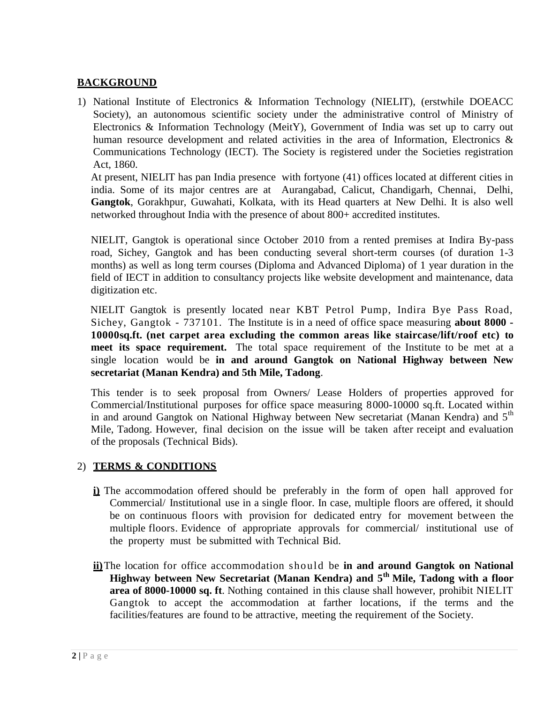# **BACKGROUND**

1) National Institute of Electronics & Information Technology (NIELIT), (erstwhile DOEACC Society), an autonomous scientific society under the administrative control of Ministry of Electronics & Information Technology (MeitY), Government of India was set up to carry out human resource development and related activities in the area of Information, Electronics & Communications Technology (IECT). The Society is registered under the Societies registration Act, 1860.

At present, NIELIT has pan India presence with fortyone (41) offices located at different cities in india. Some of its major centres are at Aurangabad, Calicut, Chandigarh, Chennai, Delhi, **Gangtok**, Gorakhpur, Guwahati, Kolkata, with its Head quarters at New Delhi. It is also well networked throughout India with the presence of about 800+ accredited institutes.

NIELIT, Gangtok is operational since October 2010 from a rented premises at Indira By-pass road, Sichey, Gangtok and has been conducting several short-term courses (of duration 1-3 months) as well as long term courses (Diploma and Advanced Diploma) of 1 year duration in the field of IECT in addition to consultancy projects like website development and maintenance, data digitization etc.

 NIELIT Gangtok is presently located near KBT Petrol Pump, Indira Bye Pass Road, Sichey, Gangtok - 737101. The Institute is in a need of office space measuring **about 8000 - 10000sq.ft. (net carpet area excluding the common areas like staircase/lift/roof etc) to meet its space requirement.** The total space requirement of the Institute to be met at a single location would be **in and around Gangtok on National Highway between New secretariat (Manan Kendra) and 5th Mile, Tadong**.

This tender is to seek proposal from Owners/ Lease Holders of properties approved for Commercial/Institutional purposes for office space measuring 8000-10000 sq.ft. Located within in and around Gangtok on National Highway between New secretariat (Manan Kendra) and  $5<sup>th</sup>$ Mile, Tadong. However, final decision on the issue will be taken after receipt and evaluation of the proposals (Technical Bids).

# 2) **TERMS & CONDITIONS**

- **i)** The accommodation offered should be preferably in the form of open hall approved for Commercial/ Institutional use in a single floor. In case, multiple floors are offered, it should be on continuous floors with provision for dedicated entry for movement between the multiple floors. Evidence of appropriate approvals for commercial/ institutional use of the property must be submitted with Technical Bid.
- **ii)**The location for office accommodation should be **in and around Gangtok on National Highway between New Secretariat (Manan Kendra) and 5th Mile, Tadong with a floor area of 8000-10000 sq. ft**. Nothing contained in this clause shall however, prohibit NIELIT Gangtok to accept the accommodation at farther locations, if the terms and the facilities/features are found to be attractive, meeting the requirement of the Society.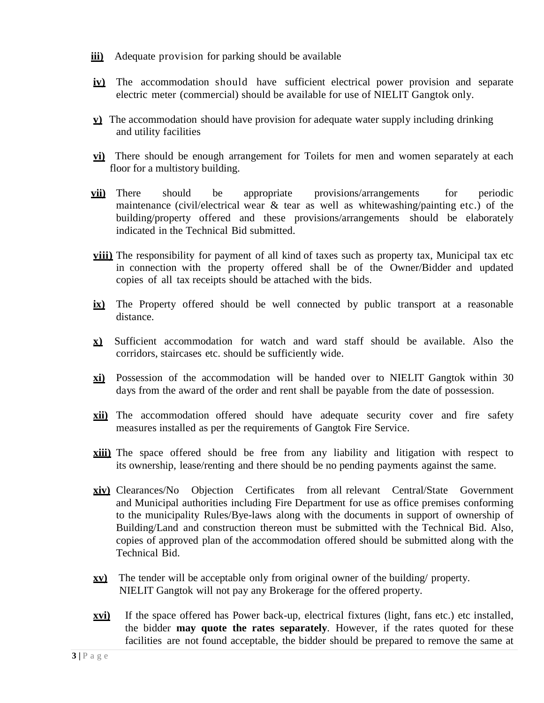- **iii)** Adequate provision for parking should be available
- **iv)** The accommodation should have sufficient electrical power provision and separate electric meter (commercial) should be available for use of NIELIT Gangtok only.
- **v)** The accommodation should have provision for adequate water supply including drinking and utility facilities
- **vi**) There should be enough arrangement for Toilets for men and women separately at each floor for a multistory building.
- **vii)** There should be appropriate provisions/arrangements for periodic maintenance (civil/electrical wear  $\&$  tear as well as whitewashing/painting etc.) of the building/property offered and these provisions/arrangements should be elaborately indicated in the Technical Bid submitted.
- **viii)** The responsibility for payment of all kind of taxes such as property tax, Municipal tax etc in connection with the property offered shall be of the Owner/Bidder and updated copies of all tax receipts should be attached with the bids.
- **ix)** The Property offered should be well connected by public transport at a reasonable distance.
- **x)** Sufficient accommodation for watch and ward staff should be available. Also the corridors, staircases etc. should be sufficiently wide.
- **xi)** Possession of the accommodation will be handed over to NIELIT Gangtok within 30 days from the award of the order and rent shall be payable from the date of possession.
- **xii)** The accommodation offered should have adequate security cover and fire safety measures installed as per the requirements of Gangtok Fire Service.
- **xiii)** The space offered should be free from any liability and litigation with respect to its ownership, lease/renting and there should be no pending payments against the same.
- **xiv)** Clearances/No Objection Certificates from all relevant Central/State Government and Municipal authorities including Fire Department for use as office premises conforming to the municipality Rules/Bye-laws along with the documents in support of ownership of Building/Land and construction thereon must be submitted with the Technical Bid. Also, copies of approved plan of the accommodation offered should be submitted along with the Technical Bid.
- **xv)** The tender will be acceptable only from original owner of the building/ property. NIELIT Gangtok will not pay any Brokerage for the offered property.
- **xvi)** If the space offered has Power back-up, electrical fixtures (light, fans etc.) etc installed, the bidder **may quote the rates separately**. However, if the rates quoted for these facilities are not found acceptable, the bidder should be prepared to remove the same at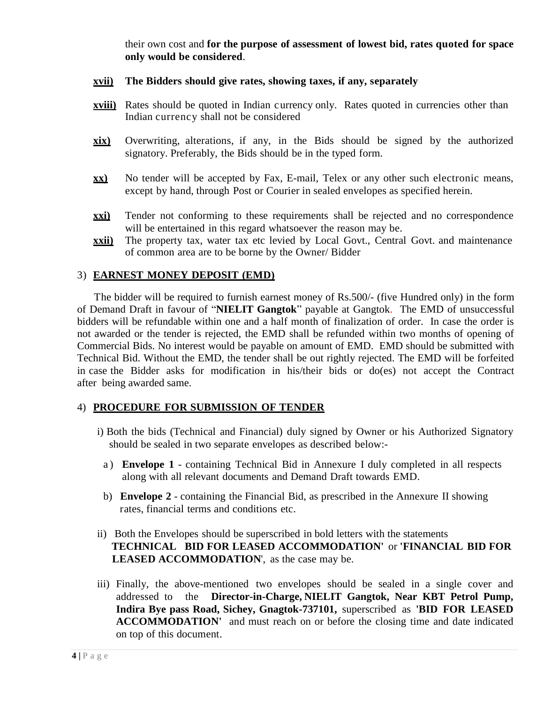their own cost and **for the purpose of assessment of lowest bid, rates quoted for space only would be considered**.

#### **xvii) The Bidders should give rates, showing taxes, if any, separately**

- **xviii)** Rates should be quoted in Indian currency only. Rates quoted in currencies other than Indian currency shall not be considered
- **xix)** Overwriting, alterations, if any, in the Bids should be signed by the authorized signatory. Preferably, the Bids should be in the typed form.
- **xx)** No tender will be accepted by Fax, E-mail, Telex or any other such electronic means, except by hand, through Post or Courier in sealed envelopes as specified herein.
- **xxi)** Tender not conforming to these requirements shall be rejected and no correspondence will be entertained in this regard whatsoever the reason may be.
- **xxii)** The property tax, water tax etc levied by Local Govt., Central Govt. and maintenance of common area are to be borne by the Owner/ Bidder

#### 3) **EARNEST MONEY DEPOSIT (EMD)**

The bidder will be required to furnish earnest money of Rs.500/- (five Hundred only) in the form of Demand Draft in favour of "**NIELIT Gangtok**" payable at Gangtok. The EMD of unsuccessful bidders will be refundable within one and a half month of finalization of order. In case the order is not awarded or the tender is rejected, the EMD shall be refunded within two months of opening of Commercial Bids. No interest would be payable on amount of EMD. EMD should be submitted with Technical Bid. Without the EMD, the tender shall be out rightly rejected. The EMD will be forfeited in case the Bidder asks for modification in his/their bids or do(es) not accept the Contract after being awarded same.

#### 4) **PROCEDURE FOR SUBMISSION OF TENDER**

- i) Both the bids (Technical and Financial) duly signed by Owner or his Authorized Signatory should be sealed in two separate envelopes as described below:
	- a ) **Envelope 1** containing Technical Bid in Annexure I duly completed in all respects along with all relevant documents and Demand Draft towards EMD.
	- b) **Envelope 2** containing the Financial Bid, as prescribed in the Annexure II showing rates, financial terms and conditions etc.
- ii) Both the Envelopes should be superscribed in bold letters with the statements **TECHNICAL BID FOR LEASED ACCOMMODATION'** or **'FINANCIAL BID FOR LEASED ACCOMMODATION**', as the case may be.
- iii) Finally, the above-mentioned two envelopes should be sealed in a single cover and addressed to the **Director-in-Charge, NIELIT Gangtok, Near KBT Petrol Pump, Indira Bye pass Road, Sichey, Gnagtok-737101,** superscribed as **'BID FOR LEASED ACCOMMODATION'** and must reach on or before the closing time and date indicated on top of this document.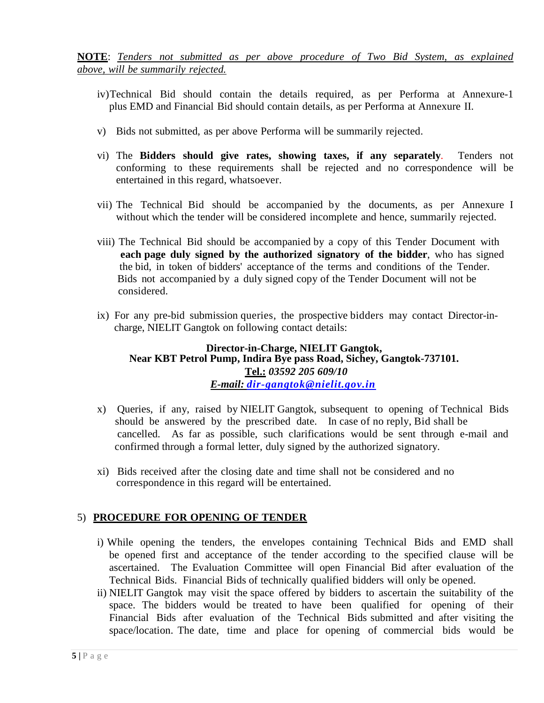**NOTE**: *Tenders not submitted as per above procedure of Two Bid System, as explained above, will be summarily rejected.*

- iv)Technical Bid should contain the details required, as per Performa at Annexure-1 plus EMD and Financial Bid should contain details, as per Performa at Annexure II.
- v) Bids not submitted, as per above Performa will be summarily rejected.
- vi) The **Bidders should give rates, showing taxes, if any separately**. Tenders not conforming to these requirements shall be rejected and no correspondence will be entertained in this regard, whatsoever.
- vii) The Technical Bid should be accompanied by the documents, as per Annexure I without which the tender will be considered incomplete and hence, summarily rejected.
- viii) The Technical Bid should be accompanied by a copy of this Tender Document with **each page duly signed by the authorized signatory of the bidder**, who has signed the bid, in token of bidders' acceptance of the terms and conditions of the Tender. Bids not accompanied by a duly signed copy of the Tender Document will not be considered.
- ix) For any pre-bid submission queries, the prospective bidders may contact Director-in charge, NIELIT Gangtok on following contact details:

# **Director-in-Charge, NIELIT Gangtok, Near KBT Petrol Pump, Indira Bye pass Road, Sichey, Gangtok-737101. Tel.:** *03592 205 609/10 E-mail: [dir-gangtok@nielit.gov.in](mailto:dir-gangtok@nielit.gov.in)*

- x) Queries, if any, raised by NIELIT Gangtok, subsequent to opening of Technical Bids should be answered by the prescribed date. In case of no reply, Bid shall be cancelled. As far as possible, such clarifications would be sent through e-mail and confirmed through a formal letter, duly signed by the authorized signatory.
- xi) Bids received after the closing date and time shall not be considered and no correspondence in this regard will be entertained.

# 5) **PROCEDURE FOR OPENING OF TENDER**

- i) While opening the tenders, the envelopes containing Technical Bids and EMD shall be opened first and acceptance of the tender according to the specified clause will be ascertained. The Evaluation Committee will open Financial Bid after evaluation of the Technical Bids. Financial Bids of technically qualified bidders will only be opened.
- ii) NIELIT Gangtok may visit the space offered by bidders to ascertain the suitability of the space. The bidders would be treated to have been qualified for opening of their Financial Bids after evaluation of the Technical Bids submitted and after visiting the space/location. The date, time and place for opening of commercial bids would be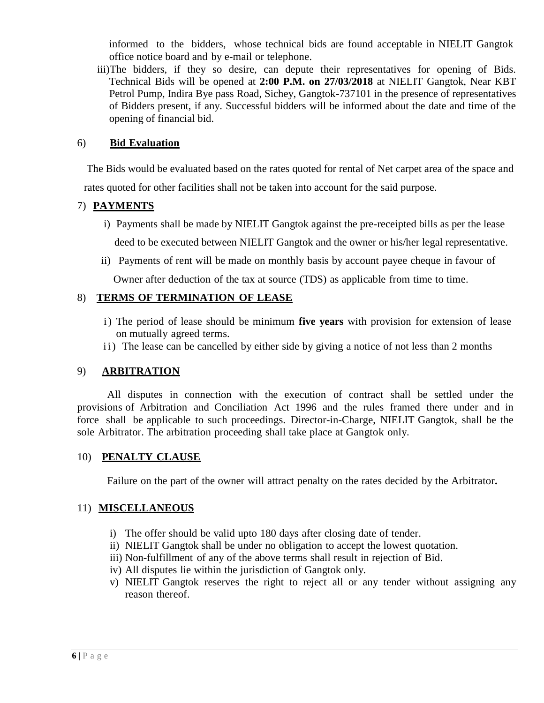informed to the bidders, whose technical bids are found acceptable in NIELIT Gangtok office notice board and by e-mail or telephone.

iii)The bidders, if they so desire, can depute their representatives for opening of Bids. Technical Bids will be opened at **2:00 P.M. on 27/03/2018** at NIELIT Gangtok, Near KBT Petrol Pump, Indira Bye pass Road, Sichey, Gangtok-737101 in the presence of representatives of Bidders present, if any. Successful bidders will be informed about the date and time of the opening of financial bid.

#### 6) **Bid Evaluation**

 The Bids would be evaluated based on the rates quoted for rental of Net carpet area of the space and rates quoted for other facilities shall not be taken into account for the said purpose.

# 7) **PAYMENTS**

- i) Payments shall be made by NIELIT Gangtok against the pre-receipted bills as per the lease deed to be executed between NIELIT Gangtok and the owner or his/her legal representative.
- ii) Payments of rent will be made on monthly basis by account payee cheque in favour of

Owner after deduction of the tax at source (TDS) as applicable from time to time.

#### 8) **TERMS OF TERMINATION OF LEASE**

- i) The period of lease should be minimum **five years** with provision for extension of lease on mutually agreed terms.
- ii) The lease can be cancelled by either side by giving a notice of not less than 2 months

# 9) **ARBITRATION**

All disputes in connection with the execution of contract shall be settled under the provisions of Arbitration and Conciliation Act 1996 and the rules framed there under and in force shall be applicable to such proceedings. Director-in-Charge, NIELIT Gangtok, shall be the sole Arbitrator. The arbitration proceeding shall take place at Gangtok only.

#### 10) **PENALTY CLAUSE**

Failure on the part of the owner will attract penalty on the rates decided by the Arbitrator**.**

# 11) **MISCELLANEOUS**

- i) The offer should be valid upto 180 days after closing date of tender.
- ii) NIELIT Gangtok shall be under no obligation to accept the lowest quotation.
- iii) Non-fulfillment of any of the above terms shall result in rejection of Bid.
- iv) All disputes lie within the jurisdiction of Gangtok only.
- v) NIELIT Gangtok reserves the right to reject all or any tender without assigning any reason thereof.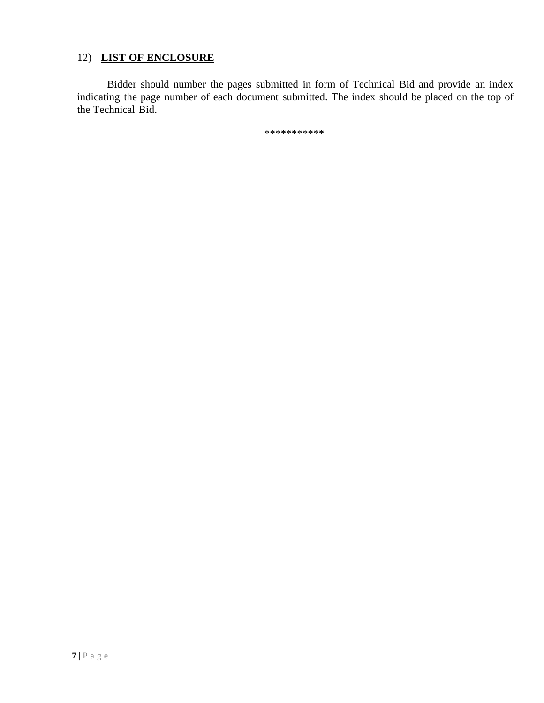# 12) **LIST OF ENCLOSURE**

Bidder should number the pages submitted in form of Technical Bid and provide an index indicating the page number of each document submitted. The index should be placed on the top of the Technical Bid.

\*\*\*\*\*\*\*\*\*\*\*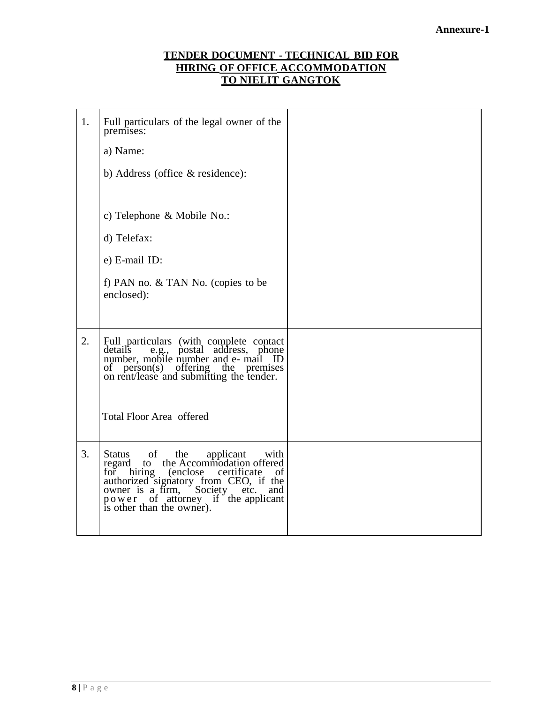# **TENDER DOCUMENT - TECHNICAL BID FOR HIRING OF OFFICE ACCOMMODATION TO NIELIT GANGTOK**

| 1. | Full particulars of the legal owner of the<br>premises:                                                                                                                                                                                                                         |  |
|----|---------------------------------------------------------------------------------------------------------------------------------------------------------------------------------------------------------------------------------------------------------------------------------|--|
|    | a) Name:                                                                                                                                                                                                                                                                        |  |
|    | b) Address (office & residence):                                                                                                                                                                                                                                                |  |
|    |                                                                                                                                                                                                                                                                                 |  |
|    | c) Telephone & Mobile No.:                                                                                                                                                                                                                                                      |  |
|    | d) Telefax:                                                                                                                                                                                                                                                                     |  |
|    | e) E-mail ID:                                                                                                                                                                                                                                                                   |  |
|    | f) PAN no. & TAN No. (copies to be<br>enclosed):                                                                                                                                                                                                                                |  |
|    |                                                                                                                                                                                                                                                                                 |  |
| 2. | Full particulars (with complete contact<br>details<br>detail's e.g., postal address, phone<br>number, mobile number and e- mail ID<br>of person(s) offering the premises<br>on rent/lease and submitting the tender.                                                            |  |
|    | <b>Total Floor Area offered</b>                                                                                                                                                                                                                                                 |  |
| 3. | of<br>Status<br>the applicant with<br>the Accommodation offered<br>regard<br>to<br>for hiring (enclose certificate of<br>authorized signatory from CEO, if the<br>owner is a firm,<br>Society<br>etc.<br>and<br>power of attorney if the applicant<br>is other than the owner). |  |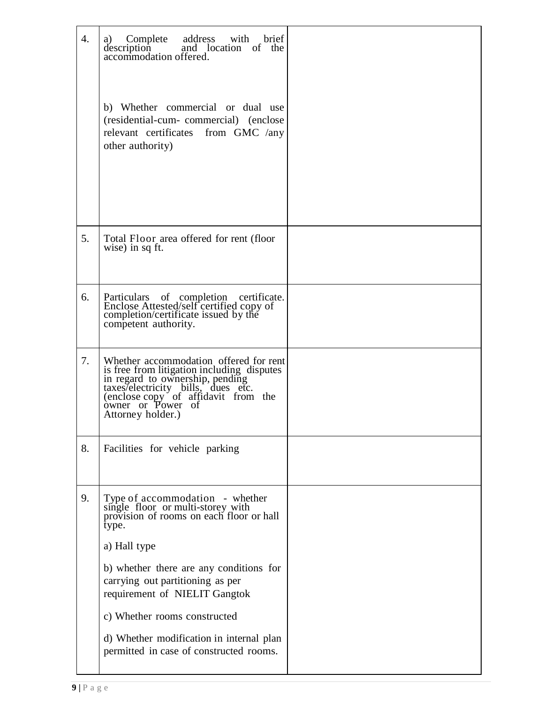| $\overline{4}$ . | Complete address with brief<br>a)<br>description and location of the<br>accommodation offered.<br>b) Whether commercial or dual use<br>(residential-cum-commercial) (enclose<br>relevant certificates<br>from GMC /any<br>other authority)                                                                                                                                       |  |
|------------------|----------------------------------------------------------------------------------------------------------------------------------------------------------------------------------------------------------------------------------------------------------------------------------------------------------------------------------------------------------------------------------|--|
| 5.               | Total Floor area offered for rent (floor<br>wise) in sq ft.                                                                                                                                                                                                                                                                                                                      |  |
| 6.               | Particulars of completion certificate.<br>Enclose Attested/self certified copy of<br>completion/certificate issued by the<br>competent authority.                                                                                                                                                                                                                                |  |
| 7.               | Whether accommodation offered for rent<br>is free from litigation including disputes<br>in regard to ownership, pending<br>taxes/electricity bills, dues etc.<br>(enclose copy of affidavit from the<br>owner or Power of<br>Attorney holder.)                                                                                                                                   |  |
| 8.               | Facilities for vehicle parking                                                                                                                                                                                                                                                                                                                                                   |  |
| 9.               | Type of accommodation - whether<br>single floor or multi-storey with<br>provision of rooms on each floor or hall<br>type.<br>a) Hall type<br>b) whether there are any conditions for<br>carrying out partitioning as per<br>requirement of NIELIT Gangtok<br>c) Whether rooms constructed<br>d) Whether modification in internal plan<br>permitted in case of constructed rooms. |  |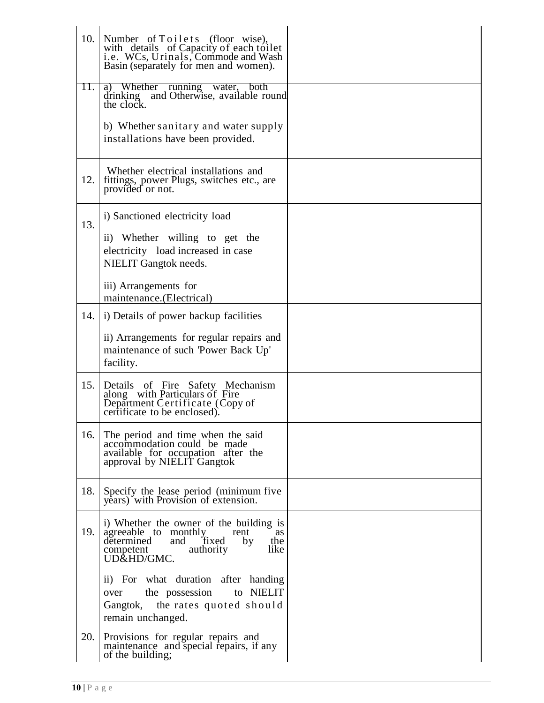| 10. | Number of Toilets (floor wise),<br>with details of Capacity of each toilet<br>i.e. WCs, Urinals, Commode and Wash<br>Basin (separately for men and women).               |  |
|-----|--------------------------------------------------------------------------------------------------------------------------------------------------------------------------|--|
| 11. | a) Whether running water, both<br>drinking and Otherwise, available round<br>drinking<br>the clock.                                                                      |  |
|     | b) Whether sanitary and water supply<br>installations have been provided.                                                                                                |  |
| 12. | Whether electrical installations and<br>fittings, power Plugs, switches etc., are<br>provided or not.                                                                    |  |
| 13. | i) Sanctioned electricity load                                                                                                                                           |  |
|     | ii) Whether willing to get the<br>electricity load increased in case<br><b>NIELIT</b> Gangtok needs.                                                                     |  |
|     | iii) Arrangements for<br>maintenance. (Electrical)                                                                                                                       |  |
| 14. | i) Details of power backup facilities                                                                                                                                    |  |
|     | ii) Arrangements for regular repairs and<br>maintenance of such 'Power Back Up'<br>facility.                                                                             |  |
| 15. | Details of Fire Safety Mechanism<br>along with Particulars of Fire<br>Department Certificate (Copy of<br>certificate to be enclosed).                                    |  |
| 16. | The period and time when the said<br>accommodation could be made<br>available for occupation after the<br>approval by NIELIT Gangtok                                     |  |
| 18. | Specify the lease period (minimum five<br>years) with Provision of extension.                                                                                            |  |
| 19. | i) Whether the owner of the building is<br>agreeable to monthly<br>rent<br>as<br>determined<br>and<br>fixed<br>by<br>the<br>like<br>authority<br>competent<br>UD&HD/GMC. |  |
|     | ii) For what duration after handing<br>to NIELIT<br>the possession<br>over<br>Gangtok, the rates quoted should<br>remain unchanged.                                      |  |
| 20. | Provisions for regular repairs and<br>maintenance and special repairs, if any<br>of the building;                                                                        |  |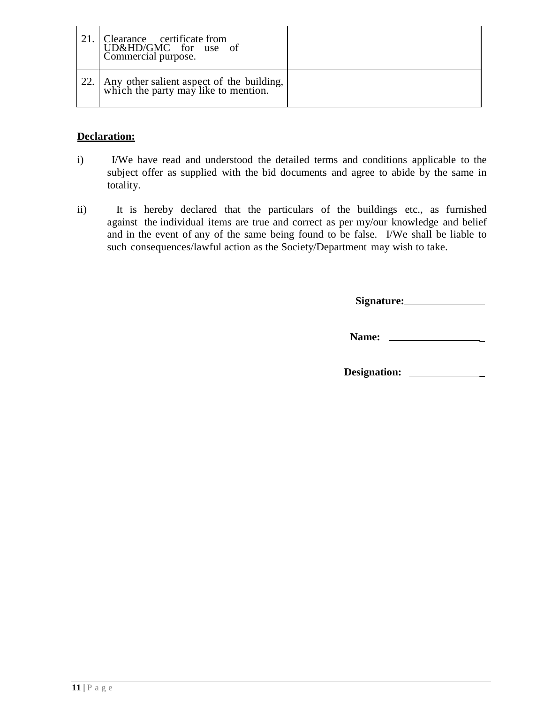|      | Clearance certificate from<br>UD&HD/GMC for use of<br>Commercial purpose.         |  |
|------|-----------------------------------------------------------------------------------|--|
| 22.1 | Any other salient aspect of the building,<br>which the party may like to mention. |  |

# **Declaration:**

- i) I/We have read and understood the detailed terms and conditions applicable to the subject offer as supplied with the bid documents and agree to abide by the same in totality.
- ii) It is hereby declared that the particulars of the buildings etc., as furnished against the individual items are true and correct as per my/our knowledge and belief and in the event of any of the same being found to be false. I/We shall be liable to such consequences/lawful action as the Society/Department may wish to take.

**Signature:**

**Name: \_**

**Designation: \_**